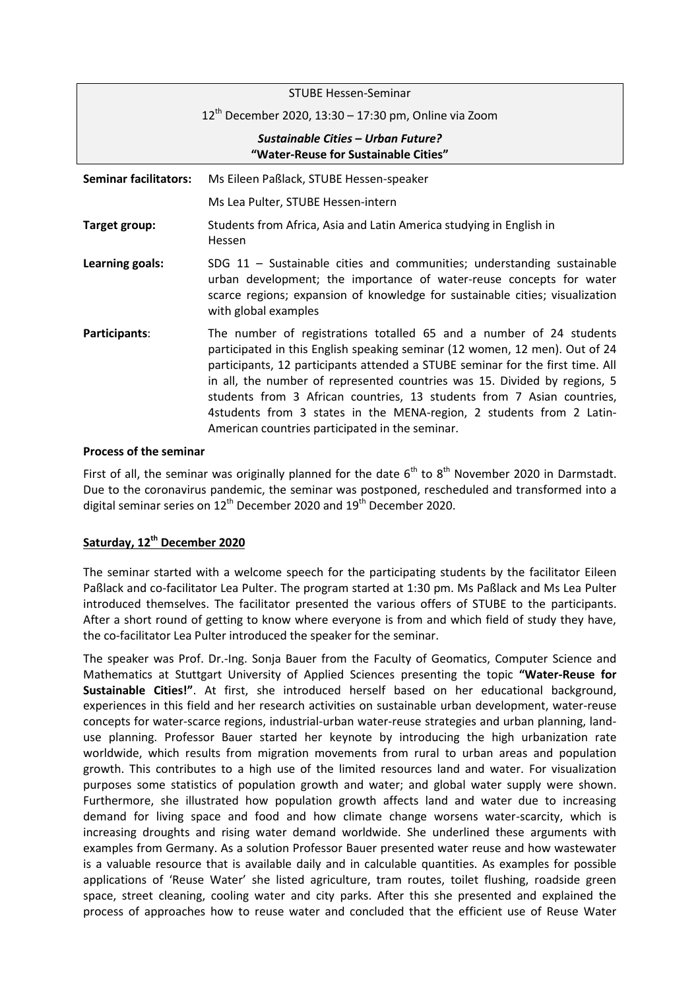|                                                                            | <b>STUBE Hessen-Seminar</b>                                                                                                                                                                                                                                                                                                                                                                                                                                                                                            |
|----------------------------------------------------------------------------|------------------------------------------------------------------------------------------------------------------------------------------------------------------------------------------------------------------------------------------------------------------------------------------------------------------------------------------------------------------------------------------------------------------------------------------------------------------------------------------------------------------------|
|                                                                            | $12^{th}$ December 2020, 13:30 – 17:30 pm, Online via Zoom                                                                                                                                                                                                                                                                                                                                                                                                                                                             |
| Sustainable Cities - Urban Future?<br>"Water-Reuse for Sustainable Cities" |                                                                                                                                                                                                                                                                                                                                                                                                                                                                                                                        |
| <b>Seminar facilitators:</b>                                               | Ms Eileen Paßlack, STUBE Hessen-speaker                                                                                                                                                                                                                                                                                                                                                                                                                                                                                |
|                                                                            | Ms Lea Pulter, STUBE Hessen-intern                                                                                                                                                                                                                                                                                                                                                                                                                                                                                     |
| Target group:                                                              | Students from Africa, Asia and Latin America studying in English in<br>Hessen                                                                                                                                                                                                                                                                                                                                                                                                                                          |
| Learning goals:                                                            | SDG $11$ - Sustainable cities and communities; understanding sustainable<br>urban development; the importance of water-reuse concepts for water<br>scarce regions; expansion of knowledge for sustainable cities; visualization<br>with global examples                                                                                                                                                                                                                                                                |
| Participants:                                                              | The number of registrations totalled 65 and a number of 24 students<br>participated in this English speaking seminar (12 women, 12 men). Out of 24<br>participants, 12 participants attended a STUBE seminar for the first time. All<br>in all, the number of represented countries was 15. Divided by regions, 5<br>students from 3 African countries, 13 students from 7 Asian countries,<br>4students from 3 states in the MENA-region, 2 students from 2 Latin-<br>American countries participated in the seminar. |

## **Process of the seminar**

First of all, the seminar was originally planned for the date  $6<sup>th</sup>$  to  $8<sup>th</sup>$  November 2020 in Darmstadt. Due to the coronavirus pandemic, the seminar was postponed, rescheduled and transformed into a digital seminar series on  $12^{th}$  December 2020 and  $19^{th}$  December 2020.

## **Saturday, 12th December 2020**

The seminar started with a welcome speech for the participating students by the facilitator Eileen Paßlack and co-facilitator Lea Pulter. The program started at 1:30 pm. Ms Paßlack and Ms Lea Pulter introduced themselves. The facilitator presented the various offers of STUBE to the participants. After a short round of getting to know where everyone is from and which field of study they have, the co-facilitator Lea Pulter introduced the speaker for the seminar.

The speaker was Prof. Dr.-Ing. Sonja Bauer from the Faculty of Geomatics, Computer Science and Mathematics at Stuttgart University of Applied Sciences presenting the topic **"Water-Reuse for Sustainable Cities!"**. At first, she introduced herself based on her educational background, experiences in this field and her research activities on sustainable urban development, water-reuse concepts for water-scarce regions, industrial-urban water-reuse strategies and urban planning, landuse planning. Professor Bauer started her keynote by introducing the high urbanization rate worldwide, which results from migration movements from rural to urban areas and population growth. This contributes to a high use of the limited resources land and water. For visualization purposes some statistics of population growth and water; and global water supply were shown. Furthermore, she illustrated how population growth affects land and water due to increasing demand for living space and food and how climate change worsens water-scarcity, which is increasing droughts and rising water demand worldwide. She underlined these arguments with examples from Germany. As a solution Professor Bauer presented water reuse and how wastewater is a valuable resource that is available daily and in calculable quantities. As examples for possible applications of 'Reuse Water' she listed agriculture, tram routes, toilet flushing, roadside green space, street cleaning, cooling water and city parks. After this she presented and explained the process of approaches how to reuse water and concluded that the efficient use of Reuse Water